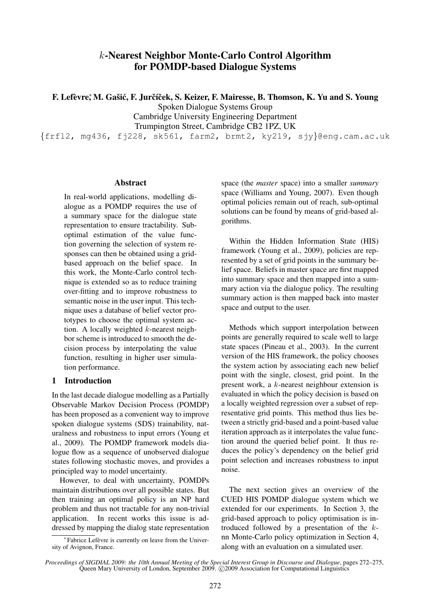# k-Nearest Neighbor Monte-Carlo Control Algorithm for POMDP-based Dialogue Systems

F. Lefèvre; M. Gašić, F. Jurčíček, S. Keizer, F. Mairesse, B. Thomson, K. Yu and S. Young

Spoken Dialogue Systems Group

Cambridge University Engineering Department

Trumpington Street, Cambridge CB2 1PZ, UK

{frfl2, mg436, fj228, sk561, farm2, brmt2, ky219, sjy}@eng.cam.ac.uk

#### **Abstract**

In real-world applications, modelling dialogue as a POMDP requires the use of a summary space for the dialogue state representation to ensure tractability. Suboptimal estimation of the value function governing the selection of system responses can then be obtained using a gridbased approach on the belief space. In this work, the Monte-Carlo control technique is extended so as to reduce training over-fitting and to improve robustness to semantic noise in the user input. This technique uses a database of belief vector prototypes to choose the optimal system action. A locally weighted k-nearest neighbor scheme is introduced to smooth the decision process by interpolating the value function, resulting in higher user simulation performance.

### 1 Introduction

In the last decade dialogue modelling as a Partially Observable Markov Decision Process (POMDP) has been proposed as a convenient way to improve spoken dialogue systems (SDS) trainability, naturalness and robustness to input errors (Young et al., 2009). The POMDP framework models dialogue flow as a sequence of unobserved dialogue states following stochastic moves, and provides a principled way to model uncertainty.

However, to deal with uncertainty, POMDPs maintain distributions over all possible states. But then training an optimal policy is an NP hard problem and thus not tractable for any non-trivial application. In recent works this issue is addressed by mapping the dialog state representation

∗ Fabrice Lefevre is currently on leave from the Univer- ` sity of Avignon, France.

space (the *master* space) into a smaller *summary* space (Williams and Young, 2007). Even though optimal policies remain out of reach, sub-optimal solutions can be found by means of grid-based algorithms.

Within the Hidden Information State (HIS) framework (Young et al., 2009), policies are represented by a set of grid points in the summary belief space. Beliefs in master space are first mapped into summary space and then mapped into a summary action via the dialogue policy. The resulting summary action is then mapped back into master space and output to the user.

Methods which support interpolation between points are generally required to scale well to large state spaces (Pineau et al., 2003). In the current version of the HIS framework, the policy chooses the system action by associating each new belief point with the single, closest, grid point. In the present work, a k-nearest neighbour extension is evaluated in which the policy decision is based on a locally weighted regression over a subset of representative grid points. This method thus lies between a strictly grid-based and a point-based value iteration approach as it interpolates the value function around the queried belief point. It thus reduces the policy's dependency on the belief grid point selection and increases robustness to input noise.

The next section gives an overview of the CUED HIS POMDP dialogue system which we extended for our experiments. In Section 3, the grid-based approach to policy optimisation is introduced followed by a presentation of the knn Monte-Carlo policy optimization in Section 4, along with an evaluation on a simulated user.

*Proceedings of SIGDIAL 2009: the 10th Annual Meeting of the Special Interest Group in Discourse and Dialogue*, pages 272–275, Queen Mary University of London, September 2009. © 2009 Association for Computational Linguistics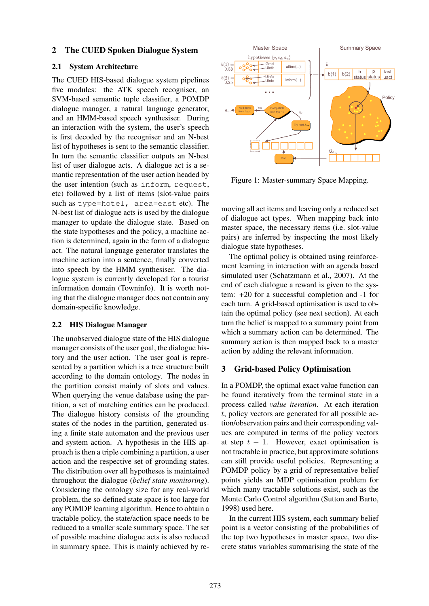### 2 The CUED Spoken Dialogue System

### 2.1 System Architecture

The CUED HIS-based dialogue system pipelines five modules: the ATK speech recogniser, an SVM-based semantic tuple classifier, a POMDP dialogue manager, a natural language generator, and an HMM-based speech synthesiser. During an interaction with the system, the user's speech is first decoded by the recogniser and an N-best list of hypotheses is sent to the semantic classifier. In turn the semantic classifier outputs an N-best list of user dialogue acts. A dialogue act is a semantic representation of the user action headed by the user intention (such as inform, request, etc) followed by a list of items (slot-value pairs such as type=hotel, area=east etc). The N-best list of dialogue acts is used by the dialogue manager to update the dialogue state. Based on the state hypotheses and the policy, a machine action is determined, again in the form of a dialogue act. The natural language generator translates the machine action into a sentence, finally converted into speech by the HMM synthesiser. The dialogue system is currently developed for a tourist information domain (Towninfo). It is worth noting that the dialogue manager does not contain any domain-specific knowledge.

### 2.2 HIS Dialogue Manager

The unobserved dialogue state of the HIS dialogue manager consists of the user goal, the dialogue history and the user action. The user goal is represented by a partition which is a tree structure built according to the domain ontology. The nodes in the partition consist mainly of slots and values. When querying the venue database using the partition, a set of matching entities can be produced. The dialogue history consists of the grounding states of the nodes in the partition, generated using a finite state automaton and the previous user and system action. A hypothesis in the HIS approach is then a triple combining a partition, a user action and the respective set of grounding states. The distribution over all hypotheses is maintained throughout the dialogue (*belief state monitoring*). Considering the ontology size for any real-world problem, the so-defined state space is too large for any POMDP learning algorithm. Hence to obtain a tractable policy, the state/action space needs to be reduced to a smaller scale summary space. The set of possible machine dialogue acts is also reduced in summary space. This is mainly achieved by re-



Figure 1: Master-summary Space Mapping.

moving all act items and leaving only a reduced set of dialogue act types. When mapping back into master space, the necessary items (i.e. slot-value pairs) are inferred by inspecting the most likely dialogue state hypotheses.

The optimal policy is obtained using reinforcement learning in interaction with an agenda based simulated user (Schatzmann et al., 2007). At the end of each dialogue a reward is given to the system: +20 for a successful completion and -1 for each turn. A grid-based optimisation is used to obtain the optimal policy (see next section). At each turn the belief is mapped to a summary point from which a summary action can be determined. The summary action is then mapped back to a master action by adding the relevant information.

## 3 Grid-based Policy Optimisation

In a POMDP, the optimal exact value function can be found iteratively from the terminal state in a process called *value iteration*. At each iteration t, policy vectors are generated for all possible action/observation pairs and their corresponding values are computed in terms of the policy vectors at step  $t - 1$ . However, exact optimisation is not tractable in practice, but approximate solutions can still provide useful policies. Representing a POMDP policy by a grid of representative belief points yields an MDP optimisation problem for which many tractable solutions exist, such as the Monte Carlo Control algorithm (Sutton and Barto, 1998) used here.

In the current HIS system, each summary belief point is a vector consisting of the probabilities of the top two hypotheses in master space, two discrete status variables summarising the state of the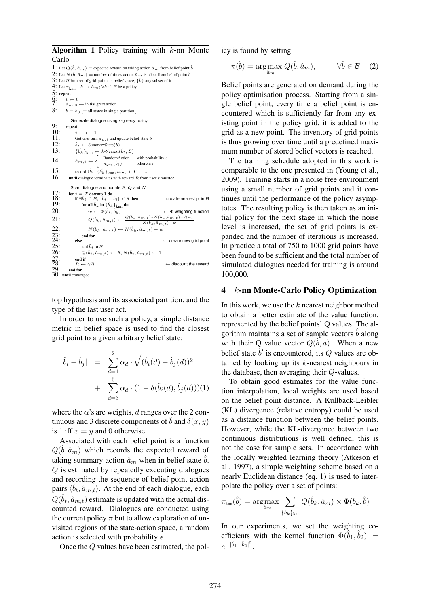**Algorithm 1** Policy training with  $k$ -nn Monte Carlo 1: Let  $Q(\hat{b}, \hat{a}_m)$  = expected reward on taking action  $\hat{a}_m$  from belief point  $\hat{b}$ 2: Let  $N(\hat{b}, \hat{a}_m)$  = number of times action  $\hat{a}_m$  is taken from belief point  $\hat{b}$ 3: Let B be a set of grid-points in belief space,  $\{\hat{b}\}\$ any subset of it 4: Let  $\pi_{\text{km}}$ :  $\hat{b} \rightarrow \hat{a}_m$ ;  $\forall \hat{b} \in \mathcal{B}$  be a policy 5: repeat 6:  $t \leftarrow 0$ <br>7:  $\hat{a}_{m,0}$ 7:  $\hat{a}_{m,0} \leftarrow$  initial greet action<br>8:  $b = b_0$  [= all states in single  $b = b_0$  [= all states in single partition ] Generate dialogue using  $\epsilon$ -greedy policy 9: repeat 10:  $t \leftarrow t + 1$ <br>11: Get user turn 11: Get user turn  $a_{u,t}$  and update belief state b<br>12:  $\hat{b}_t \leftarrow$  SummarvState(b) 12:  $\hat{b}_t \leftarrow \text{SummaryState}(b)$ <br>13:  $\{\hat{b}_t\}_{\text{long}} \leftarrow k\text{-Nearest}(b)$ 13:  $\{b_k\}_{knn} \leftarrow k\text{-Nearest}(\hat{b}_t, \mathcal{B})$ 14:  $\hat{a}_{m,t} \leftarrow \begin{cases} \text{RandomAction} & \text{with probability } \epsilon \\ \pi_{\text{knn}}(\hat{b}_t) & \text{otherwise} \end{cases}$ 15: record  $\langle \hat{b}_t, \{\hat{b_k}\}_\text{knn}, \hat{a}_{m,t}\rangle$ ,  $T \leftarrow t$ 16: until dialogue terminates with reward  $R$  from user simulator Scan dialogue and update  $B, O$  and  $N$ 17: for  $t = T$  downto 1 do<br>18: if ∃ $\hat{b}_i \in \mathcal{B}$ ,  $|\hat{b}_t - \hat{b}_i| < \delta$  then ← update nearest pt in B 19: for all  $\hat{b}_k$  in  $\{\hat{b}_k\}_{knn}$  do<br>
20:  $w \leftarrow \Phi(\hat{b}_t, \hat{b}_k)$ 20:  $w \leftarrow \Phi(\hat{b}_t, \hat{b}_k)$   $\leftarrow \Phi$  weighting function 21:  $Q(\hat{b}_k, \hat{a}_{m,t}) \leftarrow \frac{Q(\hat{b}_k, \hat{a}_{m,t}) * N(\hat{b}_k, \hat{a}_{m,t}) + R * w}{N(\hat{b}_k, \hat{a}_{m,t}) + w}$  $N(\hat{b}_k, \hat{a}_{m,t})+w$  $\begin{array}{ll} \text{22:} & \qquad N(\hat{b}_k, \hat{a}_{m,t}) \leftarrow N(\hat{b}_k, \hat{a}_{m,t}) + w \\ \text{23:} & \qquad \text{end for} \\ & \text{24:} & \qquad \text{else} \end{array}$ end for<br>else 24: else  $\leftarrow$  create new grid point<br>
25:  $ad \hat{b}_t$  to B<br>
26:  $Q(\hat{b}_t, \hat{a}_{m,t}) \leftarrow R, N(\hat{b}_t, \hat{a}_{m,t}) \leftarrow 1$ add  $\hat{b}_t$  to  $\mathcal B$ 26:  $Q(\hat{b}_t, \hat{a}_{m,t}) \leftarrow R, N(\hat{b}_t, \hat{a}_{m,t}) \leftarrow 1$ <br>
27: end if<br>
28:  $R \leftarrow \gamma R$ end if<br> $R \leftarrow \gamma R$ ← discount the reward 29: end for 30: until converged

top hypothesis and its associated partition, and the type of the last user act.

In order to use such a policy, a simple distance metric in belief space is used to find the closest grid point to a given arbitrary belief state:

$$
\begin{array}{rcl} |\hat{b}_i - \hat{b}_j| & = & \sum_{d=1}^2 \alpha_d \cdot \sqrt{(\hat{b}_i(d) - \hat{b}_j(d))^2} \\ & + & \sum_{d=3}^5 \alpha_d \cdot (1 - \delta(\hat{b}_i(d), \hat{b}_j(d)))(1) \end{array}
$$

where the  $\alpha$ 's are weights, d ranges over the 2 continuous and 3 discrete components of b and  $\delta(x, y)$ is 1 iff  $x = y$  and 0 otherwise.

Associated with each belief point is a function  $Q(\hat{b}, \hat{a}_m)$  which records the expected reward of taking summary action  $\hat{a}_m$  when in belief state  $\hat{b}$ . Q is estimated by repeatedly executing dialogues and recording the sequence of belief point-action pairs  $\langle \hat{b}_t, \hat{a}_{m,t} \rangle$ . At the end of each dialogue, each  $Q(\hat{b}_t, \hat{a}_{m,t})$  estimate is updated with the actual discounted reward. Dialogues are conducted using the current policy  $\pi$  but to allow exploration of unvisited regions of the state-action space, a random action is selected with probability  $\epsilon$ .

Once the Q values have been estimated, the pol-

icy is found by setting

$$
\pi(\hat{b}) = \underset{\hat{a}_m}{\arg\max} Q(\hat{b}, \hat{a}_m), \qquad \forall \hat{b} \in \mathcal{B} \quad (2)
$$

Belief points are generated on demand during the policy optimisation process. Starting from a single belief point, every time a belief point is encountered which is sufficiently far from any existing point in the policy grid, it is added to the grid as a new point. The inventory of grid points is thus growing over time until a predefined maximum number of stored belief vectors is reached.

The training schedule adopted in this work is comparable to the one presented in (Young et al., 2009). Training starts in a noise free environment using a small number of grid points and it continues until the performance of the policy asymptotes. The resulting policy is then taken as an initial policy for the next stage in which the noise level is increased, the set of grid points is expanded and the number of iterations is increased. In practice a total of 750 to 1000 grid points have been found to be sufficient and the total number of simulated dialogues needed for training is around 100,000.

#### 4 k-nn Monte-Carlo Policy Optimization

In this work, we use the  $k$  nearest neighbor method to obtain a better estimate of the value function, represented by the belief points' Q values. The algorithm maintains a set of sample vectors  $\ddot{b}$  along with their Q value vector  $Q(\hat{b}, a)$ . When a new belief state  $\hat{b}'$  is encountered, its Q values are obtained by looking up its k-nearest neighbours in the database, then averaging their Q-values.

To obtain good estimates for the value function interpolation, local weights are used based on the belief point distance. A Kullback-Leibler (KL) divergence (relative entropy) could be used as a distance function between the belief points. However, while the KL-divergence between two continuous distributions is well defined, this is not the case for sample sets. In accordance with the locally weighted learning theory (Atkeson et al., 1997), a simple weighting scheme based on a nearly Euclidean distance (eq. 1) is used to interpolate the policy over a set of points:

$$
\pi_{\text{\tiny{kmn}}}(\hat{b}) = \arg\!\max_{\hat{a}_m} \sum_{\{\hat{b}_k\}_{\text{\tiny{kmn}}}} Q(\hat{b}_k, \hat{a}_m) \times \Phi(\hat{b}_k, \hat{b})
$$

In our experiments, we set the weighting coefficients with the kernel function  $\Phi(\hat{b}_1, \hat{b}_2)$  =  $e^{-|\hat{b}_1-\hat{b}_2|^2}$ .